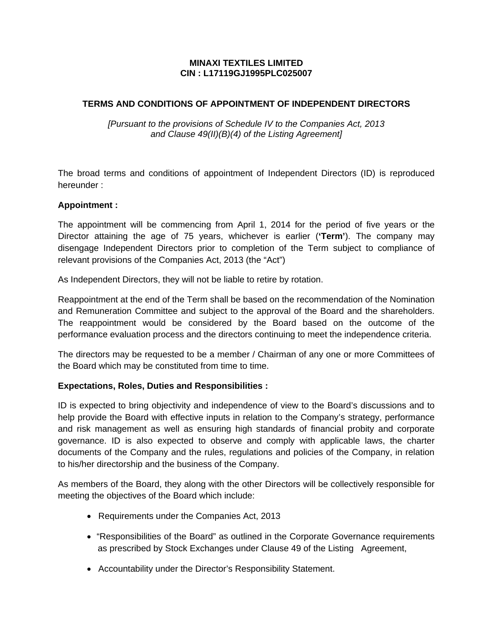### **MINAXI TEXTILES LIMITED CIN : L17119GJ1995PLC025007**

## **TERMS AND CONDITIONS OF APPOINTMENT OF INDEPENDENT DIRECTORS**

*[Pursuant to the provisions of Schedule IV to the Companies Act, 2013 and Clause 49(II)(B)(4) of the Listing Agreement]* 

The broad terms and conditions of appointment of Independent Directors (ID) is reproduced hereunder :

#### **Appointment :**

The appointment will be commencing from April 1, 2014 for the period of five years or the Director attaining the age of 75 years, whichever is earlier (**'Term'**). The company may disengage Independent Directors prior to completion of the Term subject to compliance of relevant provisions of the Companies Act, 2013 (the "Act")

As Independent Directors, they will not be liable to retire by rotation.

Reappointment at the end of the Term shall be based on the recommendation of the Nomination and Remuneration Committee and subject to the approval of the Board and the shareholders. The reappointment would be considered by the Board based on the outcome of the performance evaluation process and the directors continuing to meet the independence criteria.

The directors may be requested to be a member / Chairman of any one or more Committees of the Board which may be constituted from time to time.

### **Expectations, Roles, Duties and Responsibilities :**

ID is expected to bring objectivity and independence of view to the Board's discussions and to help provide the Board with effective inputs in relation to the Company's strategy, performance and risk management as well as ensuring high standards of financial probity and corporate governance. ID is also expected to observe and comply with applicable laws, the charter documents of the Company and the rules, regulations and policies of the Company, in relation to his/her directorship and the business of the Company.

As members of the Board, they along with the other Directors will be collectively responsible for meeting the objectives of the Board which include:

- Requirements under the Companies Act, 2013
- "Responsibilities of the Board" as outlined in the Corporate Governance requirements as prescribed by Stock Exchanges under Clause 49 of the Listing Agreement,
- Accountability under the Director's Responsibility Statement.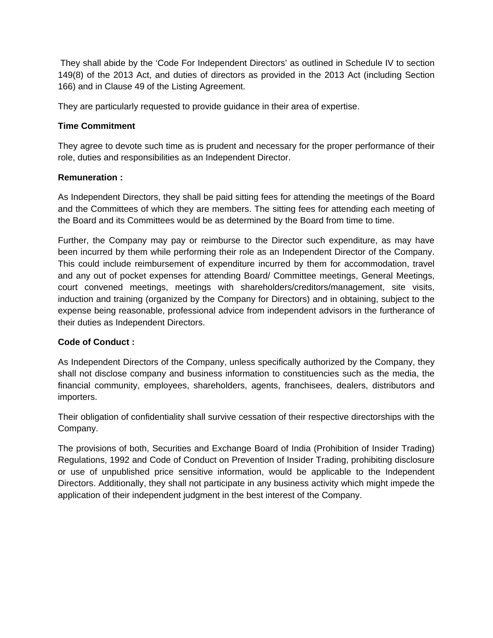They shall abide by the 'Code For Independent Directors' as outlined in Schedule IV to section 149(8) of the 2013 Act, and duties of directors as provided in the 2013 Act (including Section 166) and in Clause 49 of the Listing Agreement.

They are particularly requested to provide guidance in their area of expertise.

# **Time Commitment**

They agree to devote such time as is prudent and necessary for the proper performance of their role, duties and responsibilities as an Independent Director.

### **Remuneration :**

As Independent Directors, they shall be paid sitting fees for attending the meetings of the Board and the Committees of which they are members. The sitting fees for attending each meeting of the Board and its Committees would be as determined by the Board from time to time.

Further, the Company may pay or reimburse to the Director such expenditure, as may have been incurred by them while performing their role as an Independent Director of the Company. This could include reimbursement of expenditure incurred by them for accommodation, travel and any out of pocket expenses for attending Board/ Committee meetings, General Meetings, court convened meetings, meetings with shareholders/creditors/management, site visits, induction and training (organized by the Company for Directors) and in obtaining, subject to the expense being reasonable, professional advice from independent advisors in the furtherance of their duties as Independent Directors.

### **Code of Conduct :**

As Independent Directors of the Company, unless specifically authorized by the Company, they shall not disclose company and business information to constituencies such as the media, the financial community, employees, shareholders, agents, franchisees, dealers, distributors and importers.

Their obligation of confidentiality shall survive cessation of their respective directorships with the Company.

The provisions of both, Securities and Exchange Board of India (Prohibition of Insider Trading) Regulations, 1992 and Code of Conduct on Prevention of Insider Trading, prohibiting disclosure or use of unpublished price sensitive information, would be applicable to the Independent Directors. Additionally, they shall not participate in any business activity which might impede the application of their independent judgment in the best interest of the Company.